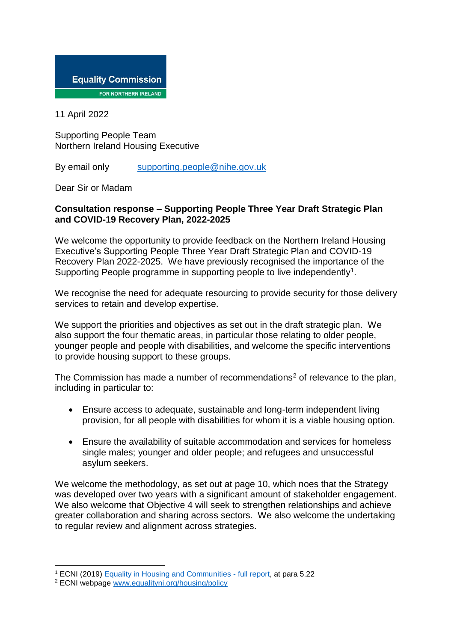

11 April 2022

Supporting People Team Northern Ireland Housing Executive

By email only [supporting.people@nihe.gov.uk](mailto:supporting.people@nihe.gov.uk)

Dear Sir or Madam

## **Consultation response – Supporting People Three Year Draft Strategic Plan and COVID-19 Recovery Plan, 2022-2025**

We welcome the opportunity to provide feedback on the Northern Ireland Housing Executive's Supporting People Three Year Draft Strategic Plan and COVID-19 Recovery Plan 2022-2025. We have previously recognised the importance of the Supporting People programme in supporting people to live independently<sup>1</sup>.

We recognise the need for adequate resourcing to provide security for those delivery services to retain and develop expertise.

We support the priorities and objectives as set out in the draft strategic plan. We also support the four thematic areas, in particular those relating to older people, younger people and people with disabilities, and welcome the specific interventions to provide housing support to these groups.

The Commission has made a number of recommendations<sup>2</sup> of relevance to the plan, including in particular to:

- Ensure access to adequate, sustainable and long-term independent living provision, for all people with disabilities for whom it is a viable housing option.
- Ensure the availability of suitable accommodation and services for homeless single males; younger and older people; and refugees and unsuccessful asylum seekers.

We welcome the methodology, as set out at page 10, which noes that the Strategy was developed over two years with a significant amount of stakeholder engagement. We also welcome that Objective 4 will seek to strengthen relationships and achieve greater collaboration and sharing across sectors. We also welcome the undertaking to regular review and alignment across strategies.

<sup>1</sup> ECNI (2019[\) Equality in Housing and Communities -](https://www.equalityni.org/ECNI/media/ECNI/Publications/Delivering%20Equality/HousingPolicyPositions-Full.pdf) full report, at para 5.22

<sup>2</sup> ECNI webpage [www.equalityni.org/housing/policy](http://www.equalityni.org/housing/policy)